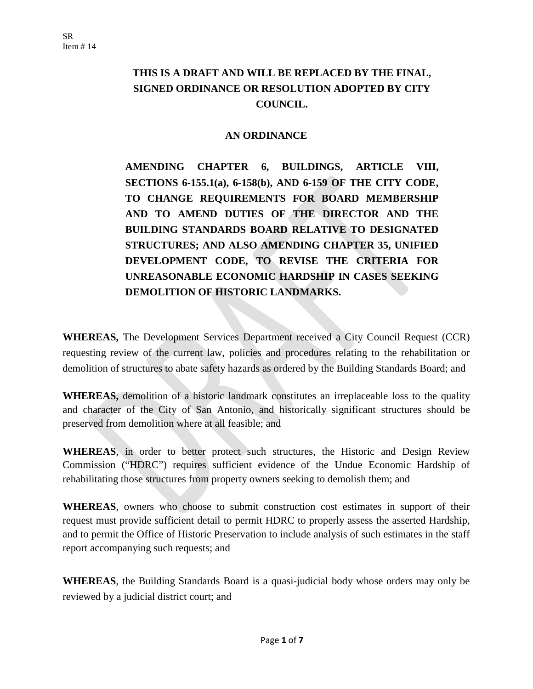# **THIS IS A DRAFT AND WILL BE REPLACED BY THE FINAL, SIGNED ORDINANCE OR RESOLUTION ADOPTED BY CITY COUNCIL.**

### **AN ORDINANCE**

**AMENDING CHAPTER 6, BUILDINGS, ARTICLE VIII, SECTIONS 6-155.1(a), 6-158(b), AND 6-159 OF THE CITY CODE, TO CHANGE REQUIREMENTS FOR BOARD MEMBERSHIP AND TO AMEND DUTIES OF THE DIRECTOR AND THE BUILDING STANDARDS BOARD RELATIVE TO DESIGNATED STRUCTURES; AND ALSO AMENDING CHAPTER 35, UNIFIED DEVELOPMENT CODE, TO REVISE THE CRITERIA FOR UNREASONABLE ECONOMIC HARDSHIP IN CASES SEEKING DEMOLITION OF HISTORIC LANDMARKS.**

**WHEREAS,** The Development Services Department received a City Council Request (CCR) requesting review of the current law, policies and procedures relating to the rehabilitation or demolition of structures to abate safety hazards as ordered by the Building Standards Board; and

**WHEREAS,** demolition of a historic landmark constitutes an irreplaceable loss to the quality and character of the City of San Antonio, and historically significant structures should be preserved from demolition where at all feasible; and

**WHEREAS**, in order to better protect such structures, the Historic and Design Review Commission ("HDRC") requires sufficient evidence of the Undue Economic Hardship of rehabilitating those structures from property owners seeking to demolish them; and

**WHEREAS**, owners who choose to submit construction cost estimates in support of their request must provide sufficient detail to permit HDRC to properly assess the asserted Hardship, and to permit the Office of Historic Preservation to include analysis of such estimates in the staff report accompanying such requests; and

**WHEREAS**, the Building Standards Board is a quasi-judicial body whose orders may only be reviewed by a judicial district court; and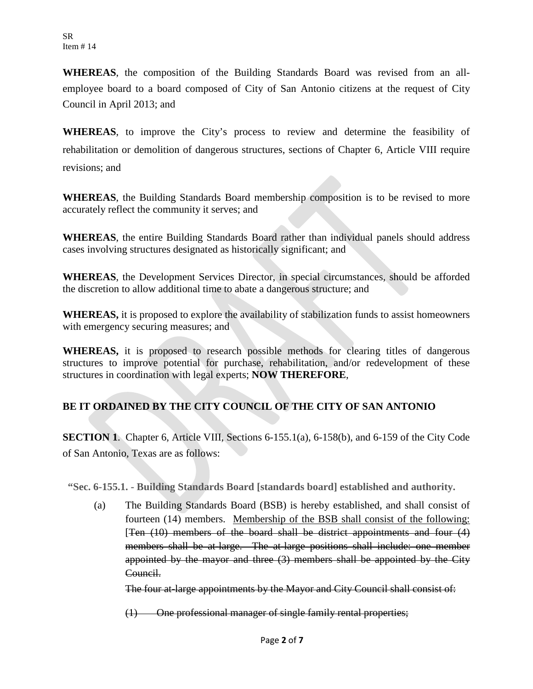**WHEREAS**, the composition of the Building Standards Board was revised from an allemployee board to a board composed of City of San Antonio citizens at the request of City Council in April 2013; and

**WHEREAS**, to improve the City's process to review and determine the feasibility of rehabilitation or demolition of dangerous structures, sections of Chapter 6, Article VIII require revisions; and

**WHEREAS**, the Building Standards Board membership composition is to be revised to more accurately reflect the community it serves; and

**WHEREAS**, the entire Building Standards Board rather than individual panels should address cases involving structures designated as historically significant; and

**WHEREAS**, the Development Services Director, in special circumstances, should be afforded the discretion to allow additional time to abate a dangerous structure; and

**WHEREAS,** it is proposed to explore the availability of stabilization funds to assist homeowners with emergency securing measures; and

WHEREAS, it is proposed to research possible methods for clearing titles of dangerous structures to improve potential for purchase, rehabilitation, and/or redevelopment of these structures in coordination with legal experts; **NOW THEREFORE**,

## **BE IT ORDAINED BY THE CITY COUNCIL OF THE CITY OF SAN ANTONIO**

**SECTION 1**. Chapter 6, Article VIII, Sections 6-155.1(a), 6-158(b), and 6-159 of the City Code of San Antonio, Texas are as follows:

**"Sec. 6-155.1. - Building Standards Board [standards board] established and authority.**

(a) The Building Standards Board (BSB) is hereby established, and shall consist of fourteen (14) members. Membership of the BSB shall consist of the following: [Ten  $(10)$  members of the board shall be district appointments and four  $(4)$ members shall be at-large. The at-large positions shall include: one member appointed by the mayor and three (3) members shall be appointed by the City Council.

The four at-large appointments by the Mayor and City Council shall consist of:

(1) One professional manager of single family rental properties;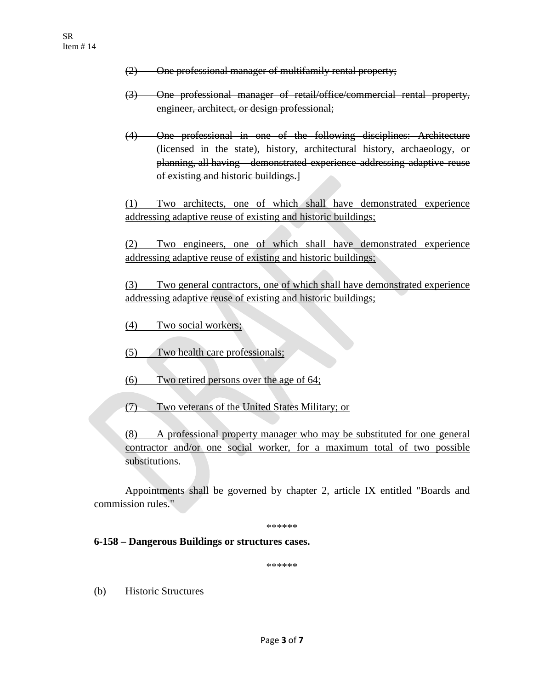- (2) One professional manager of multifamily rental property;
- (3) One professional manager of retail/office/commercial rental property, engineer, architect, or design professional;
- (4) One professional in one of the following disciplines: Architecture (licensed in the state), history, architectural history, archaeology, or planning, all having demonstrated experience addressing adaptive reuse of existing and historic buildings.]

(1) Two architects, one of which shall have demonstrated experience addressing adaptive reuse of existing and historic buildings;

(2) Two engineers, one of which shall have demonstrated experience addressing adaptive reuse of existing and historic buildings;

(3) Two general contractors, one of which shall have demonstrated experience addressing adaptive reuse of existing and historic buildings;

- (4) Two social workers;
- (5) Two health care professionals;
- (6) Two retired persons over the age of 64;
- (7) Two veterans of the United States Military; or

(8) A professional property manager who may be substituted for one general contractor and/or one social worker, for a maximum total of two possible substitutions.

Appointments shall be governed by [chapter](http://library.municode.com/HTML/11508/level2/PTIICO_CH2AD.html#PTIICO_CH2AD) 2, article IX entitled "Boards and commission rules."

\*\*\*\*\*\*

#### **6-158 – Dangerous Buildings or structures cases.**

\*\*\*\*\*\*

(b) Historic Structures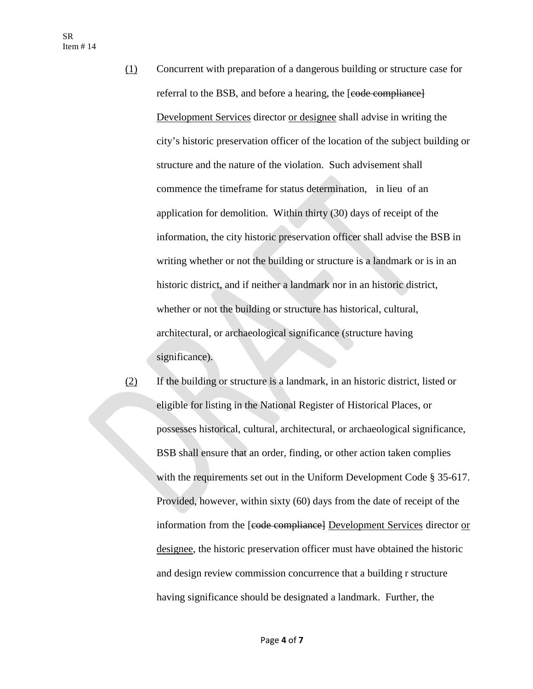- (1) Concurrent with preparation of a dangerous building or structure case for referral to the BSB, and before a hearing, the [code compliance] Development Services director or designee shall advise in writing the city's historic preservation officer of the location of the subject building or structure and the nature of the violation. Such advisement shall commence the timeframe for status determination, in lieu of an application for demolition. Within thirty (30) days of receipt of the information, the city historic preservation officer shall advise the BSB in writing whether or not the building or structure is a landmark or is in an historic district, and if neither a landmark nor in an historic district, whether or not the building or structure has historical, cultural, architectural, or archaeological significance (structure having significance).
- (2) If the building or structure is a landmark, in an historic district, listed or eligible for listing in the National Register of Historical Places, or possesses historical, cultural, architectural, or archaeological significance, BSB shall ensure that an order, finding, or other action taken complies with the requirements set out in the Uniform Development Code § 35-617. Provided, however, within sixty (60) days from the date of receipt of the information from the [code compliance] Development Services director or designee, the historic preservation officer must have obtained the historic and design review commission concurrence that a building r structure having significance should be designated a landmark. Further, the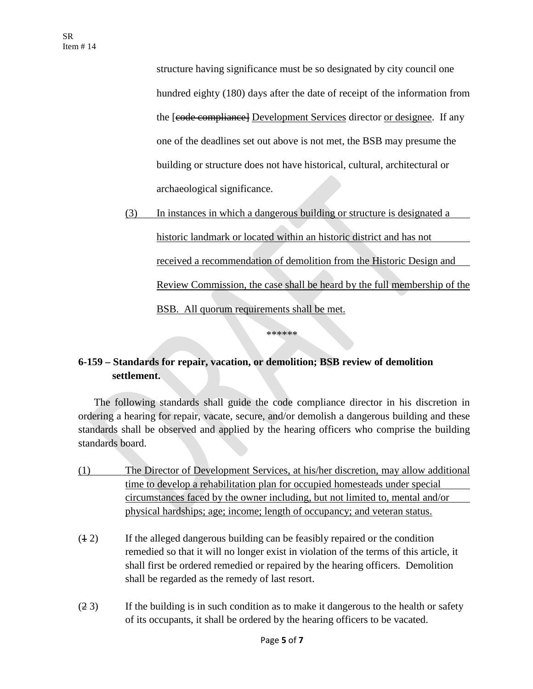structure having significance must be so designated by city council one hundred eighty (180) days after the date of receipt of the information from the [code compliance] Development Services director or designee. If any one of the deadlines set out above is not met, the BSB may presume the building or structure does not have historical, cultural, architectural or archaeological significance.

(3) In instances in which a dangerous building or structure is designated a historic landmark or located within an historic district and has not received a recommendation of demolition from the Historic Design and Review Commission, the case shall be heard by the full membership of the BSB. All quorum requirements shall be met.

### **6-159 – Standards for repair, vacation, or demolition; BSB review of demolition settlement.**

The following standards shall guide the code compliance director in his discretion in ordering a hearing for repair, vacate, secure, and/or demolish a dangerous building and these standards shall be observed and applied by the hearing officers who comprise the building standards board.

\*\*\*\*\*\*

- (1) The Director of Development Services, at his/her discretion, may allow additional time to develop a rehabilitation plan for occupied homesteads under special circumstances faced by the owner including, but not limited to, mental and/or physical hardships; age; income; length of occupancy; and veteran status.
- (1 2) If the alleged dangerous building can be feasibly repaired or the condition remedied so that it will no longer exist in violation of the terms of this article, it shall first be ordered remedied or repaired by the hearing officers. Demolition shall be regarded as the remedy of last resort.
- (2 3) If the building is in such condition as to make it dangerous to the health or safety of its occupants, it shall be ordered by the hearing officers to be vacated.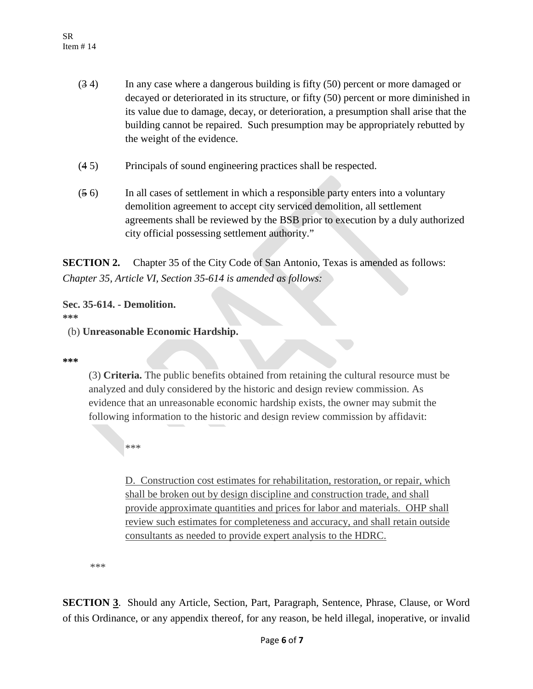- (3 4) In any case where a dangerous building is fifty (50) percent or more damaged or decayed or deteriorated in its structure, or fifty (50) percent or more diminished in its value due to damage, decay, or deterioration, a presumption shall arise that the building cannot be repaired. Such presumption may be appropriately rebutted by the weight of the evidence.
- (4 5) Principals of sound engineering practices shall be respected.
- (5 6) In all cases of settlement in which a responsible party enters into a voluntary demolition agreement to accept city serviced demolition, all settlement agreements shall be reviewed by the BSB prior to execution by a duly authorized city official possessing settlement authority."

**SECTION 2.** Chapter 35 of the City Code of San Antonio, Texas is amended as follows: *Chapter 35, Article VI, Section 35-614 is amended as follows:*

#### **Sec. 35-614. - Demolition.**

**\*\*\***

(b) **Unreasonable Economic Hardship.**

#### **\*\*\***

(3) **Criteria.** The public benefits obtained from retaining the cultural resource must be analyzed and duly considered by the historic and design review commission. As evidence that an unreasonable economic hardship exists, the owner may submit the following information to the historic and design review commission by affidavit:

\*\*\*

D. Construction cost estimates for rehabilitation, restoration, or repair, which shall be broken out by design discipline and construction trade, and shall provide approximate quantities and prices for labor and materials. OHP shall review such estimates for completeness and accuracy, and shall retain outside consultants as needed to provide expert analysis to the HDRC.

\*\*\*

**SECTION 3**. Should any Article, Section, Part, Paragraph, Sentence, Phrase, Clause, or Word of this Ordinance, or any appendix thereof, for any reason, be held illegal, inoperative, or invalid